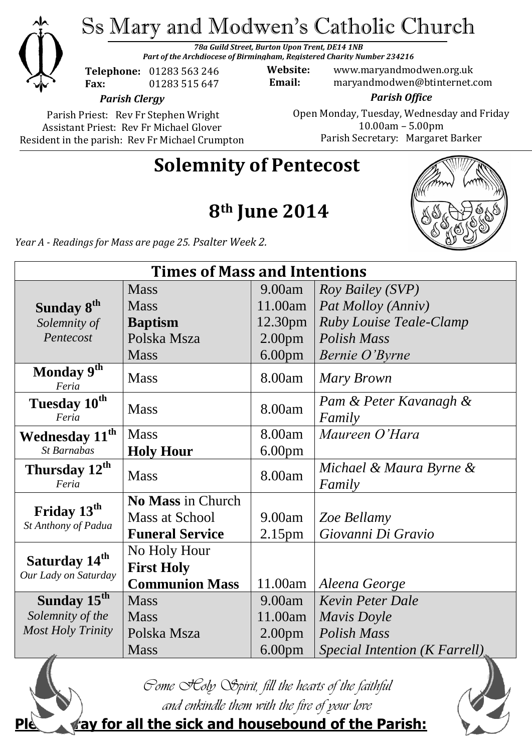

Ss Mary and Modwen's Catholic Church

*78a Guild Street, Burton Upon Trent, DE14 1NB Part of the Archdiocese of Birmingham, Registered Charity Number 234216*

**Telephone:** 01283 563 246 **Fax:** 01283 515 647

**Website:** www.maryandmodwen.org.uk **Email:** maryandmodwen@btinternet.com

*Parish Clergy*

Parish Priest: Rev Fr Stephen Wright Assistant Priest: Rev Fr Michael Glover Resident in the parish: Rev Fr Michael Crumpton

*Parish Office* Open Monday, Tuesday, Wednesday and Friday 10.00am – 5.00pm Parish Secretary:Margaret Barker

# **Solemnity of Pentecost**

**8th June 2014**



*Year A - Readings for Mass are page 25. Psalter Week 2.*

| <b>Times of Mass and Intentions</b>               |                        |                    |                                   |
|---------------------------------------------------|------------------------|--------------------|-----------------------------------|
|                                                   | <b>Mass</b>            | 9.00am             | Roy Bailey (SVP)                  |
| Sunday 8 <sup>th</sup>                            | <b>Mass</b>            | 11.00am            | Pat Molloy (Anniv)                |
| Solemnity of                                      | <b>Baptism</b>         | 12.30pm            | <b>Ruby Louise Teale-Clamp</b>    |
| Pentecost                                         | Polska Msza            | 2.00 <sub>pm</sub> | Polish Mass                       |
|                                                   | <b>Mass</b>            | 6.00 <sub>pm</sub> | Bernie O'Byrne                    |
| Monday 9 <sup>th</sup><br>Feria                   | <b>Mass</b>            | 8.00am             | Mary Brown                        |
| Tuesday 10 <sup>th</sup><br>Feria                 | <b>Mass</b>            | 8.00am             | Pam & Peter Kavanagh &<br>Family  |
| Wednesday 11 <sup>th</sup>                        | <b>Mass</b>            | 8.00am             | Maureen O'Hara                    |
| <b>St Barnabas</b>                                | <b>Holy Hour</b>       | 6.00 <sub>pm</sub> |                                   |
| Thursday 12 <sup>th</sup><br>Feria                | <b>Mass</b>            | 8.00am             | Michael & Maura Byrne &<br>Family |
|                                                   | No Mass in Church      |                    |                                   |
| Friday 13 <sup>th</sup><br>St Anthony of Padua    | Mass at School         | 9.00am             | Zoe Bellamy                       |
|                                                   | <b>Funeral Service</b> | 2.15 <sub>pm</sub> | Giovanni Di Gravio                |
| Saturday 14 <sup>th</sup><br>Our Lady on Saturday | No Holy Hour           |                    |                                   |
|                                                   | <b>First Holy</b>      |                    |                                   |
|                                                   | <b>Communion Mass</b>  | 11.00am            | Aleena George                     |
| Sunday 15 <sup>th</sup>                           | <b>Mass</b>            | 9.00am             | <b>Kevin Peter Dale</b>           |
| Solemnity of the                                  | <b>Mass</b>            | 11.00am            | Mavis Doyle                       |
| <b>Most Holy Trinity</b>                          | Polska Msza            | 2.00 <sub>pm</sub> | Polish Mass                       |
|                                                   | <b>Mass</b>            | 6.00 <sub>pm</sub> | Special Intention (K Farrell)     |





**Pay for all the sick and housebound of the Parish:**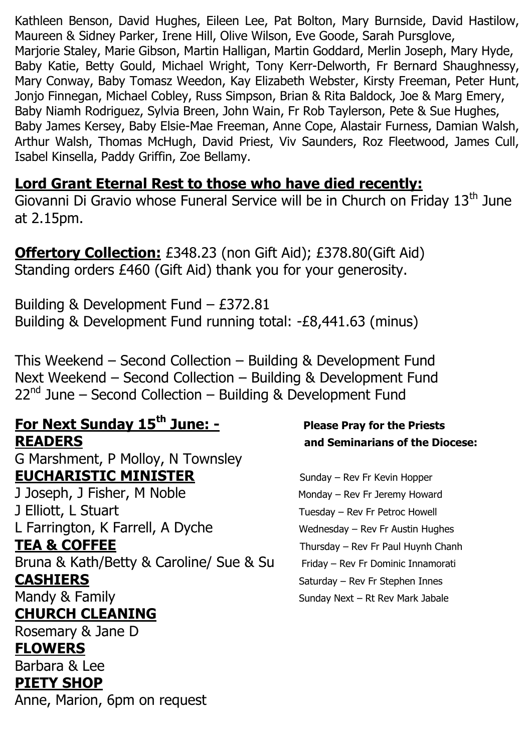Kathleen Benson, David Hughes, Eileen Lee, Pat Bolton, Mary Burnside, David Hastilow, Maureen & Sidney Parker, Irene Hill, Olive Wilson, Eve Goode, Sarah Pursglove, Marjorie Staley, Marie Gibson, Martin Halligan, Martin Goddard, Merlin Joseph, Mary Hyde, Baby Katie, Betty Gould, Michael Wright, Tony Kerr-Delworth, Fr Bernard Shaughnessy, Mary Conway, Baby Tomasz Weedon, Kay Elizabeth Webster, Kirsty Freeman, Peter Hunt, Jonjo Finnegan, Michael Cobley, Russ Simpson, Brian & Rita Baldock, Joe & Marg Emery, Baby Niamh Rodriguez, Sylvia Breen, John Wain, Fr Rob Taylerson, Pete & Sue Hughes, Baby James Kersey, Baby Elsie-Mae Freeman, Anne Cope, Alastair Furness, Damian Walsh, Arthur Walsh, Thomas McHugh, David Priest, Viv Saunders, Roz Fleetwood, James Cull, Isabel Kinsella, Paddy Griffin, Zoe Bellamy.

### **Lord Grant Eternal Rest to those who have died recently:**

Giovanni Di Gravio whose Funeral Service will be in Church on Friday 13<sup>th</sup> June at 2.15pm.

**Offertory Collection:** £348.23 (non Gift Aid); £378.80(Gift Aid) Standing orders £460 (Gift Aid) thank you for your generosity.

Building & Development Fund – £372.81 Building & Development Fund running total: -£8,441.63 (minus)

This Weekend – Second Collection – Building & Development Fund Next Weekend – Second Collection – Building & Development Fund  $22<sup>nd</sup>$  June – Second Collection – Building & Development Fund

## **For Next Sunday 15th June: - Please Pray for the Priests READERS and Seminarians of the Diocese:**

G Marshment, P Molloy, N Townsley **EUCHARISTIC MINISTER** Sunday – Rev Fr Kevin Hopper J Joseph, J Fisher, M Noble Monday – Rev Fr Jeremy Howard

J Elliott, L Stuart Tuesday – Rev Fr Petroc Howell L Farrington, K Farrell, A Dyche Wednesday – Rev Fr Austin Hughes **TEA & COFFEE** Thursday – Rev Fr Paul Huynh Chanh Bruna & Kath/Betty & Caroline/ Sue & Su Friday – Rev Fr Dominic Innamorati **CASHIERS** Saturday – Rev Fr Stephen Innes Mandy & Family **Mandy & Ramily** Sunday Next – Rt Rev Mark Jabale

# **CHURCH CLEANING**

Rosemary & Jane D

## **FLOWERS**

Barbara & Lee

#### **PIETY SHOP**

Anne, Marion, 6pm on request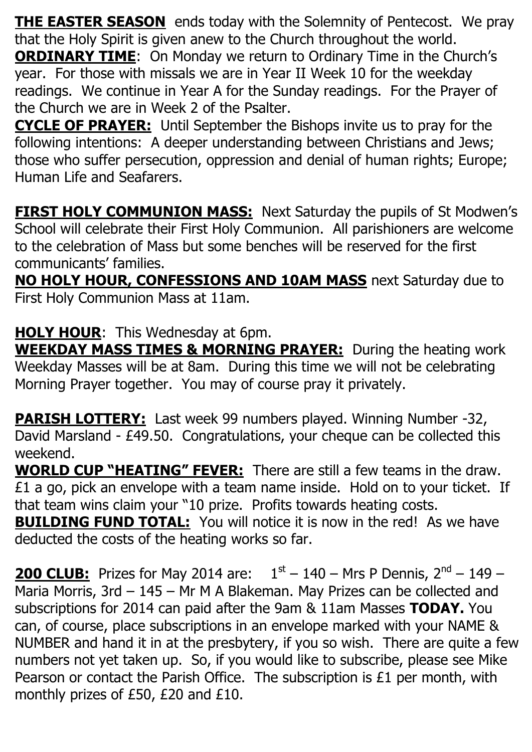**THE EASTER SEASON** ends today with the Solemnity of Pentecost. We pray that the Holy Spirit is given anew to the Church throughout the world.

**ORDINARY TIME:** On Monday we return to Ordinary Time in the Church's year. For those with missals we are in Year II Week 10 for the weekday readings. We continue in Year A for the Sunday readings. For the Prayer of the Church we are in Week 2 of the Psalter.

**CYCLE OF PRAYER:** Until September the Bishops invite us to pray for the following intentions: A deeper understanding between Christians and Jews; those who suffer persecution, oppression and denial of human rights; Europe; Human Life and Seafarers.

**FIRST HOLY COMMUNION MASS:** Next Saturday the pupils of St Modwen's School will celebrate their First Holy Communion. All parishioners are welcome to the celebration of Mass but some benches will be reserved for the first communicants' families.

**NO HOLY HOUR, CONFESSIONS AND 10AM MASS** next Saturday due to First Holy Communion Mass at 11am.

**HOLY HOUR**: This Wednesday at 6pm. **WEEKDAY MASS TIMES & MORNING PRAYER:** During the heating work Weekday Masses will be at 8am. During this time we will not be celebrating Morning Prayer together. You may of course pray it privately.

**PARISH LOTTERY:** Last week 99 numbers played. Winning Number -32, David Marsland - £49.50. Congratulations, your cheque can be collected this weekend.

**WORLD CUP "HEATING" FEVER:** There are still a few teams in the draw. £1 a go, pick an envelope with a team name inside. Hold on to your ticket. If that team wins claim your "10 prize. Profits towards heating costs. **BUILDING FUND TOTAL:** You will notice it is now in the red! As we have deducted the costs of the heating works so far.

**200 CLUB:** Prizes for May 2014 are:  $1<sup>st</sup> - 140 - Mrs$  P Dennis,  $2<sup>nd</sup> - 149 -$ Maria Morris, 3rd – 145 – Mr M A Blakeman. May Prizes can be collected and subscriptions for 2014 can paid after the 9am & 11am Masses **TODAY.** You can, of course, place subscriptions in an envelope marked with your NAME & NUMBER and hand it in at the presbytery, if you so wish. There are quite a few numbers not yet taken up. So, if you would like to subscribe, please see Mike Pearson or contact the Parish Office. The subscription is £1 per month, with monthly prizes of £50, £20 and £10.